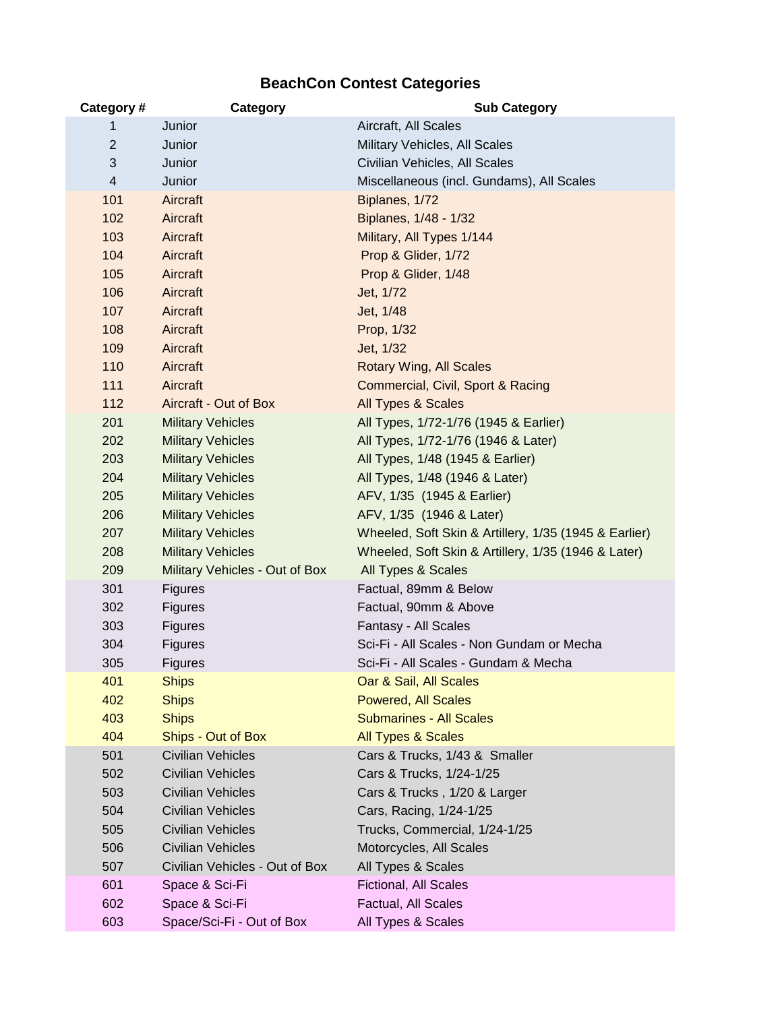## **BeachCon Contest Categories**

| Category#      | Category                       | <b>Sub Category</b>                                   |
|----------------|--------------------------------|-------------------------------------------------------|
| 1              | Junior                         | Aircraft, All Scales                                  |
| $\overline{2}$ | Junior                         | Military Vehicles, All Scales                         |
| 3              | Junior                         | Civilian Vehicles, All Scales                         |
| $\overline{4}$ | Junior                         | Miscellaneous (incl. Gundams), All Scales             |
| 101            | Aircraft                       | Biplanes, 1/72                                        |
| 102            | Aircraft                       | Biplanes, 1/48 - 1/32                                 |
| 103            | Aircraft                       | Military, All Types 1/144                             |
| 104            | Aircraft                       | Prop & Glider, 1/72                                   |
| 105            | Aircraft                       | Prop & Glider, 1/48                                   |
| 106            | Aircraft                       | Jet, 1/72                                             |
| 107            | Aircraft                       | Jet, 1/48                                             |
| 108            | Aircraft                       | Prop, 1/32                                            |
| 109            | Aircraft                       | Jet, 1/32                                             |
| 110            | Aircraft                       | <b>Rotary Wing, All Scales</b>                        |
| 111            | Aircraft                       | Commercial, Civil, Sport & Racing                     |
| 112            | Aircraft - Out of Box          | All Types & Scales                                    |
| 201            | <b>Military Vehicles</b>       | All Types, 1/72-1/76 (1945 & Earlier)                 |
| 202            | <b>Military Vehicles</b>       | All Types, 1/72-1/76 (1946 & Later)                   |
| 203            | <b>Military Vehicles</b>       | All Types, 1/48 (1945 & Earlier)                      |
| 204            | <b>Military Vehicles</b>       | All Types, 1/48 (1946 & Later)                        |
| 205            | <b>Military Vehicles</b>       | AFV, 1/35 (1945 & Earlier)                            |
| 206            | <b>Military Vehicles</b>       | AFV, 1/35 (1946 & Later)                              |
| 207            | <b>Military Vehicles</b>       | Wheeled, Soft Skin & Artillery, 1/35 (1945 & Earlier) |
| 208            | <b>Military Vehicles</b>       | Wheeled, Soft Skin & Artillery, 1/35 (1946 & Later)   |
| 209            | Military Vehicles - Out of Box | All Types & Scales                                    |
| 301            | <b>Figures</b>                 | Factual, 89mm & Below                                 |
| 302            | <b>Figures</b>                 | Factual, 90mm & Above                                 |
| 303            | <b>Figures</b>                 | Fantasy - All Scales                                  |
| 304            | <b>Figures</b>                 | Sci-Fi - All Scales - Non Gundam or Mecha             |
| 305            | <b>Figures</b>                 | Sci-Fi - All Scales - Gundam & Mecha                  |
| 401            | <b>Ships</b>                   | Oar & Sail, All Scales                                |
| 402            | <b>Ships</b>                   | <b>Powered, All Scales</b>                            |
| 403            | <b>Ships</b>                   | <b>Submarines - All Scales</b>                        |
| 404            | Ships - Out of Box             | All Types & Scales                                    |
| 501            | <b>Civilian Vehicles</b>       | Cars & Trucks, 1/43 & Smaller                         |
| 502            | <b>Civilian Vehicles</b>       | Cars & Trucks, 1/24-1/25                              |
| 503            | <b>Civilian Vehicles</b>       | Cars & Trucks, 1/20 & Larger                          |
| 504            | <b>Civilian Vehicles</b>       | Cars, Racing, 1/24-1/25                               |
| 505            | <b>Civilian Vehicles</b>       | Trucks, Commercial, 1/24-1/25                         |
| 506            | <b>Civilian Vehicles</b>       | Motorcycles, All Scales                               |
| 507            | Civilian Vehicles - Out of Box | All Types & Scales                                    |
| 601            | Space & Sci-Fi                 | <b>Fictional, All Scales</b>                          |
| 602            | Space & Sci-Fi                 | Factual, All Scales                                   |
| 603            | Space/Sci-Fi - Out of Box      | All Types & Scales                                    |